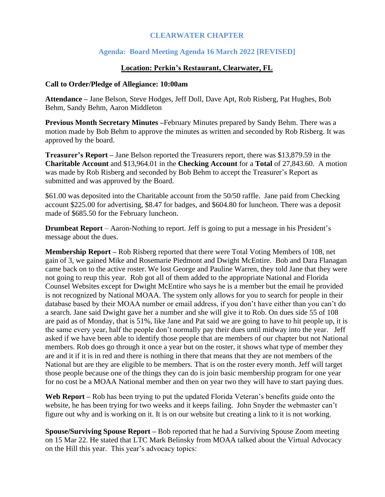# **CLEARWATER CHAPTER**

# **Agenda: Board Meeting Agenda 16 March 2022 [REVISED]**

#### **Location: Perkin's Restaurant, Clearwater, FL**

#### **Call to Order/Pledge of Allegiance: 10:00am**

**Attendance –** Jane Belson, Steve Hodges, Jeff Doll, Dave Apt, Rob Risberg, Pat Hughes, Bob Behm, Sandy Behm, Aaron Middleton

**Previous Month Secretary Minutes –**February Minutes prepared by Sandy Behm. There was a motion made by Bob Behm to approve the minutes as written and seconded by Rob Risberg. It was approved by the board.

**Treasurer's Report –** Jane Belson reported the Treasurers report, there was \$13,879.59 in the **Charitable Account** and \$13,964.01 in the **Checking Account** for a **Total** of 27,843.60. A motion was made by Rob Risberg and seconded by Bob Behm to accept the Treasurer's Report as submitted and was approved by the Board.

\$61.00 was deposited into the Charitable account from the 50/50 raffle. Jane paid from Checking account \$225.00 for advertising, \$8.47 for badges, and \$604.80 for luncheon. There was a deposit made of \$685.50 for the February luncheon.

**Drumbeat Report** – Aaron-Nothing to report. Jeff is going to put a message in his President's message about the dues.

**Membership Report –** Rob Risberg reported that there were Total Voting Members of 108, net gain of 3, we gained Mike and Rosemarie Piedmont and Dwight McEntire. Bob and Dara Flanagan came back on to the active roster. We lost George and Pauline Warren, they told Jane that they were not going to reup this year. Rob got all of them added to the appropriate National and Florida Counsel Websites except for Dwight McEntire who says he is a member but the email he provided is not recognized by National MOAA. The system only allows for you to search for people in their database based by their MOAA number or email address, if you don't have either than you can't do a search. Jane said Dwight gave her a number and she will give it to Rob. On dues side 55 of 108 are paid as of Monday, that is 51%, like Jane and Pat said we are going to have to hit people up, it is the same every year, half the people don't normally pay their dues until midway into the year. Jeff asked if we have been able to identify those people that are members of our chapter but not National members. Rob does go through it once a year but on the roster, it shows what type of member they are and it if it is in red and there is nothing in there that means that they are not members of the National but are they are eligible to be members. That is on the roster every month. Jeff will target those people because one of the things they can do is join basic membership program for one year for no cost be a MOAA National member and then on year two they will have to start paying dues.

**Web Report –** Rob has been trying to put the updated Florida Veteran's benefits guide onto the website, he has been trying for two weeks and it keeps failing. John Snyder the webmaster can't figure out why and is working on it. It is on our website but creating a link to it is not working.

**Spouse/Surviving Spouse Report –** Bob reported that he had a Surviving Spouse Zoom meeting on 15 Mar 22. He stated that LTC Mark Belinsky from MOAA talked about the Virtual Advocacy on the Hill this year. This year's advocacy topics: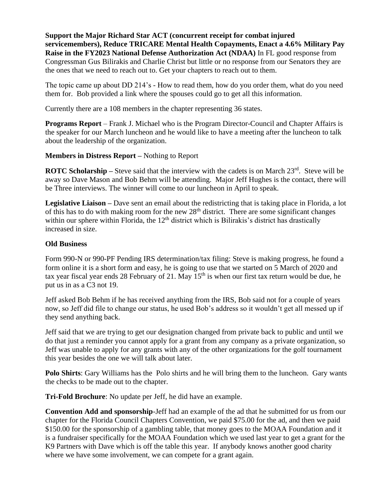**Support the Major Richard Star ACT (concurrent receipt for combat injured servicemembers), Reduce TRICARE Mental Health Copayments, Enact a 4.6% Military Pay Raise in the FY2023 National Defense Authorization Act (NDAA)** In FL good response from Congressman Gus Bilirakis and Charlie Christ but little or no response from our Senators they are the ones that we need to reach out to. Get your chapters to reach out to them.

The topic came up about DD 214's - How to read them, how do you order them, what do you need them for. Bob provided a link where the spouses could go to get all this information.

Currently there are a 108 members in the chapter representing 36 states.

**Programs Report** – Frank J. Michael who is the Program Director-Council and Chapter Affairs is the speaker for our March luncheon and he would like to have a meeting after the luncheon to talk about the leadership of the organization.

## **Members in Distress Report –** Nothing to Report

**ROTC Scholarship** – Steve said that the interview with the cadets is on March 23<sup>rd</sup>. Steve will be away so Dave Mason and Bob Behm will be attending. Major Jeff Hughes is the contact, there will be Three interviews. The winner will come to our luncheon in April to speak.

**Legislative Liaison –** Dave sent an email about the redistricting that is taking place in Florida, a lot of this has to do with making room for the new  $28<sup>th</sup>$  district. There are some significant changes within our sphere within Florida, the  $12<sup>th</sup>$  district which is Bilirakis's district has drastically increased in size.

## **Old Business**

Form 990-N or 990-PF Pending IRS determination/tax filing: Steve is making progress, he found a form online it is a short form and easy, he is going to use that we started on 5 March of 2020 and tax year fiscal year ends 28 February of 21. May  $15<sup>th</sup>$  is when our first tax return would be due, he put us in as a C3 not 19.

Jeff asked Bob Behm if he has received anything from the IRS, Bob said not for a couple of years now, so Jeff did file to change our status, he used Bob's address so it wouldn't get all messed up if they send anything back.

Jeff said that we are trying to get our designation changed from private back to public and until we do that just a reminder you cannot apply for a grant from any company as a private organization, so Jeff was unable to apply for any grants with any of the other organizations for the golf tournament this year besides the one we will talk about later.

**Polo Shirts**: Gary Williams has the Polo shirts and he will bring them to the luncheon. Gary wants the checks to be made out to the chapter.

**Tri-Fold Brochure**: No update per Jeff, he did have an example.

**Convention Add and sponsorship**-Jeff had an example of the ad that he submitted for us from our chapter for the Florida Council Chapters Convention, we paid \$75.00 for the ad, and then we paid \$150.00 for the sponsorship of a gambling table, that money goes to the MOAA Foundation and it is a fundraiser specifically for the MOAA Foundation which we used last year to get a grant for the K9 Partners with Dave which is off the table this year. If anybody knows another good charity where we have some involvement, we can compete for a grant again.